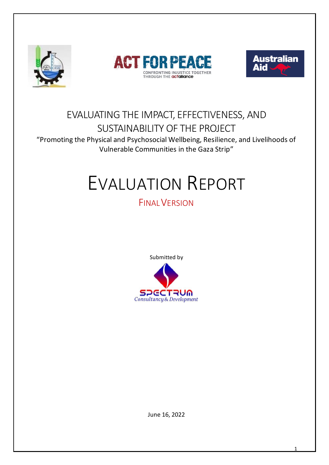





# EVALUATING THE IMPACT, EFFECTIVENESS, AND SUSTAINABILITY OF THE PROJECT

"Promoting the Physical and Psychosocial Wellbeing, Resilience, and Livelihoods of Vulnerable Communities in the Gaza Strip"

# EVALUATION REPORT

# **FINAL VERSION**

Submitted by



June 16, 2022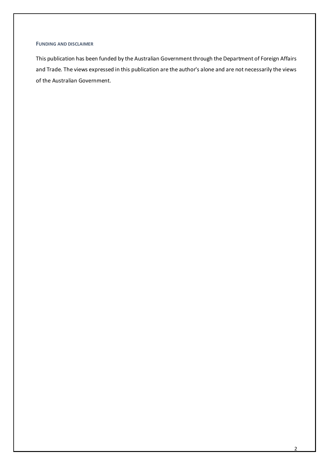#### **FUNDING AND DISCLAIMER**

This publication has been funded by the Australian Government through the Department of Foreign Affairs and Trade. The views expressed in this publication are the author's alone and are not necessarily the views of the Australian Government.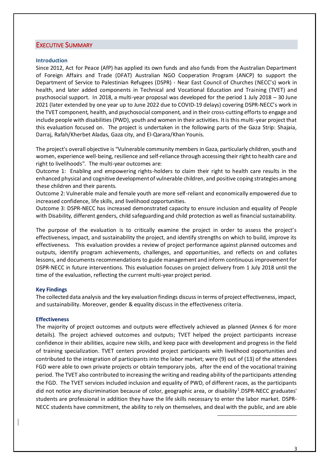#### EXECUTIVE SUMMARY

#### **Introduction**

Since 2012, Act for Peace (AfP) has applied its own funds and also funds from the Australian Department of Foreign Affairs and Trade (DFAT) Australian NGO Cooperation Program (ANCP) to support the Department of Service to Palestinian Refugees (DSPR) - Near East Council of Churches (NECC's) work in health, and later added components in Technical and Vocational Education and Training (TVET) and psychosocial support. In 2018, a multi-year proposal was developed for the period 1 July 2018 – 30 June 2021 (later extended by one year up to June 2022 due to COVID-19 delays) covering DSPR-NECC's work in the TVET component, health, and psychosocial component, and in their cross-cutting efforts to engage and include people with disabilities (PWD), youth and women in their activities. It is this multi-year project that this evaluation focused on. The project is undertaken in the following parts of the Gaza Strip: Shajaia, Darraj, Rafah/Kherbet Aladas, Gaza city, and El-Qarara/Khan Younis.

The project's overall objective is "Vulnerable community members in Gaza, particularly children, youth and women, experience well-being, resilience and self-reliance through accessing their right to health care and right to livelihoods". The multi-year outcomes are:

Outcome 1: Enabling and empowering rights-holders to claim their right to health care results in the enhanced physical and cognitive development of vulnerable children, and positive coping strategies among these children and their parents.

Outcome 2: Vulnerable male and female youth are more self-reliant and economically empowered due to increased confidence, life skills, and livelihood opportunities.

Outcome 3: DSPR-NECC has increased demonstrated capacity to ensure inclusion and equality of People with Disability, different genders, child safeguarding and child protection as well as financial sustainability.

The purpose of the evaluation is to critically examine the project in order to assess the project's effectiveness, impact, and sustainability the project, and identify strengths on which to build, improve its effectiveness. This evaluation provides a review of project performance against planned outcomes and outputs, identify program achievements, challenges, and opportunities, and reflects on and collates lessons, and documents recommendations to guide management and inform continuous improvement for DSPR-NECC in future interventions. This evaluation focuses on project delivery from 1 July 2018 until the time of the evaluation, reflecting the current multi-year project period.

#### **Key Findings**

The collected data analysis and the key evaluation findings discuss in terms of project effectiveness, impact, and sustainability. Moreover, gender & equality discuss in the effectiveness criteria.

#### **Effectiveness**

The majority of project outcomes and outputs were effectively achieved as planned (Annex 6 for more details). The project achieved outcomes and outputs; TVET helped the project participants increase confidence in their abilities, acquire new skills, and keep pace with development and progress in the field of training specialization. TVET centers provided project participants with livelihood opportunities and contributed to the integration of participants into the labor market; were (9) out of (13) of the attendees FGD were able to own private projects or obtain temporary jobs, after the end of the vocational training period. The TVET also contributed to increasing the writing and reading ability of the participants attending the FGD. The TVET services included inclusion and equality of PWD, of different races, as the participants did not notice any discrimination because of color, geographic area, or disability<sup>1</sup>.DSPR-NECC graduates' students are professional in addition they have the life skills necessary to enter the labor market. DSPR-NECC students have commitment, the ability to rely on themselves, and deal with the public, and are able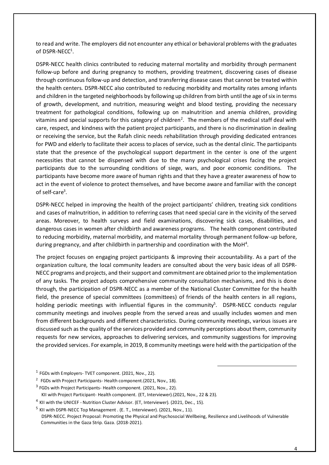to read and write. The employers did not encounter any ethical or behavioral problems with the graduates of DSPR-NECC<sup>1</sup>.

DSPR-NECC health clinics contributed to reducing maternal mortality and morbidity through permanent follow-up before and during pregnancy to mothers, providing treatment, discovering cases of disease through continuous follow-up and detection, and transferring disease cases that cannot be treated within the health centers. DSPR-NECC also contributed to reducing morbidity and mortality rates among infants and children in the targeted neighborhoods by following up children from birth until the age of six in terms of growth, development, and nutrition, measuring weight and blood testing, providing the necessary treatment for pathological conditions, following up on malnutrition and anemia children, providing vitamins and special supports for this category of children<sup>2</sup>. The members of the medical staff deal with care, respect, and kindness with the patient project participants, and there is no discrimination in dealing or receiving the service, but the Rafah clinic needs rehabilitation through providing dedicated entrances for PWD and elderly to facilitate their access to places of service, such as the dental clinic. The participants state that the presence of the psychological support department in the center is one of the urgent necessities that cannot be dispensed with due to the many psychological crises facing the project participants due to the surrounding conditions of siege, wars, and poor economic conditions. The participants have become more aware of human rights and that they have a greater awareness of how to act in the event of violence to protect themselves, and have become aware and familiar with the concept of self-care<sup>3</sup>.

DSPR-NECC helped in improving the health of the project participants' children, treating sick conditions and cases of malnutrition, in addition to referring cases that need special care in the vicinity of the served areas. Moreover, to health surveys and field examinations, discovering sick cases, disabilities, and dangerous cases in women after childbirth and awareness programs. The health component contributed to reducing morbidity, maternal morbidity, and maternal mortality through permanent follow-up before, during pregnancy, and after childbirth in partnership and coordination with the MoH<sup>4</sup>.

The project focuses on engaging project participants & improving their accountability. As a part of the organization culture, the local community leaders are consulted about the very basic ideas of all DSPR-NECC programs and projects, and their support and commitment are obtained prior to the implementation of any tasks. The project adopts comprehensive community consultation mechanisms, and this is done through, the participation of DSPR-NECC as a member of the National Cluster Committee for the health field, the presence of special committees (committees) of friends of the health centers in all regions, holding periodic meetings with influential figures in the community<sup>5</sup>. DSPR-NECC conducts regular community meetings and involves people from the served areas and usually includes women and men from different backgrounds and different characteristics. During community meetings, various issues are discussed such as the quality of the services provided and community perceptions about them, community requests for new services, approaches to delivering services, and community suggestions for improving the provided services. For example, in 2019, 8 community meetings were held with the participation of the

- $2$  FGDs with Project Participants-Health component. (2021, Nov., 18).
- <sup>3</sup> FGDs with Project Participants- Health component. (2021, Nov., 22). KII with Project Participant- Health component. (ET, Interviewer).(2021, Nov., 22 & 23).
- 
- $^4$  KII with the UNICEF Nutrition Cluster Advisor. (ET, Interviewer). (2021, Dec., 15).

 $<sup>1</sup>$  FGDs with Employers- TVET component. (2021, Nov., 22).</sup>

<sup>&</sup>lt;sup>5</sup> KII with DSPR-NECC Top Management . (E. T., Interviewer). (2021, Nov., 11). DSPR-NECC. Project Proposal: Promoting the Physical and Psychosocial Wellbeing, Resilience and Livelihoods of Vulnerable Communities in the Gaza Strip. Gaza. (2018-2021).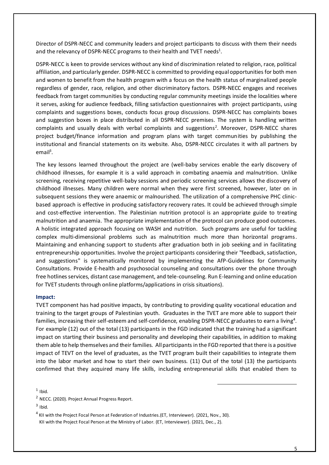Director of DSPR-NECC and community leaders and project participants to discuss with them their needs and the relevancy of DSPR-NECC programs to their health and TVET needs<sup>1</sup>.

DSPR-NECC is keen to provide services without any kind of discrimination related to religion, race, political affiliation, and particularly gender. DSPR-NECC is committed to providing equal opportunities for both men and women to benefit from the health program with a focus on the health status of marginalized people regardless of gender, race, religion, and other discriminatory factors. DSPR-NECC engages and receives feedback from target communities by conducting regular community meetings inside the localities where it serves, asking for audience feedback, filling satisfaction questionnaires with project participants, using complaints and suggestions boxes, conducts focus group discussions. DSPR-NECC has complaints boxes and suggestion boxes in place distributed in all DSPR-NECC premises. The system is handling written complaints and usually deals with verbal complaints and suggestions<sup>2</sup>. Moreover, DSPR-NECC shares project budget/finance information and program plans with target communities by publishing the institutional and financial statements on its website. Also, DSPR-NECC circulates it with all partners by  $email<sup>3</sup>$ .

The key lessons learned throughout the project are (well-baby services enable the early discovery of childhood illnesses, for example it is a valid approach in combating anaemia and malnutrition. Unlike screening, receiving repetitive well-baby sessions and periodic screening services allows the discovery of childhood illnesses. Many children were normal when they were first screened, however, later on in subsequent sessions they were anaemic or malnourished. The utilization of a comprehensive PHC clinicbased approach is effective in producing satisfactory recovery rates. It could be achieved through simple and cost-effective intervention. The Palestinian nutrition protocol is an appropriate guide to treating malnutrition and anaemia. The appropriate implementation of the protocol can produce good outcomes. A holistic integrated approach focusing on WASH and nutrition. Such programs are useful for tackling complex multi-dimensional problems such as malnutrition much more than horizontal programs. Maintaining and enhancing support to students after graduation both in job seeking and in facilitating entrepreneurship opportunities. Involve the project participants considering their "feedback, satisfaction, and suggestions" is systematically monitored by implementing the AfP-Guidelines for Community Consultations. Provide E-health and psychosocial counseling and consultations over the phone through free hotlines services, distant case management, and tele-counseling. Run E-learning and online education for TVET students through online platforms/applications in crisis situations).

#### **Impact:**

TVET component has had positive impacts, by contributing to providing quality vocational education and training to the target groups of Palestinian youth. Graduates in the TVET are more able to support their families, increasing their self-esteem and self-confidence, enabling DSPR-NECC graduates to earn a living<sup>4</sup>. For example (12) out of the total (13) participants in the FGD indicated that the training had a significant impact on starting their business and personality and developing their capabilities, in addition to making them able to help themselves and their families. All participants in the FGD reported that there is a positive impact of TEVT on the level of graduates, as the TVET program built their capabilities to integrate them into the labor market and how to start their own business. (11) Out of the total (13) the participants confirmed that they acquired many life skills, including entrepreneurial skills that enabled them to

 $1$  Ibid.

<sup>2</sup> NECC. (2020). Project Annual Progress Report.

 $3$  Ibid.

 $^4$  KII with the Project Focal Person at Federation of Industries. (ET, Interviewer). (2021, Nov., 30). KII with the Project Focal Person at the Ministry of Labor. (ET, Interviewer). (2021, Dec., 2).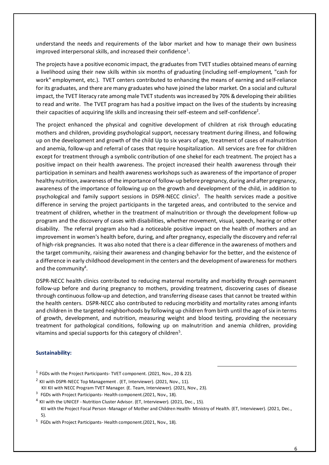understand the needs and requirements of the labor market and how to manage their own business improved interpersonal skills, and increased their confidence<sup>1</sup>.

The projects have a positive economic impact, the graduates from TVET studies obtained means of earning a livelihood using their new skills within six months of graduating (including self-employment, "cash for work" employment, etc.). TVET centers contributed to enhancing the means of earning and self-reliance for its graduates, and there are many graduates who have joined the labor market. On a social and cultural impact, the TVET literacy rate among male TVET students was increased by 70% & developing their abilities to read and write. The TVET program has had a positive impact on the lives of the students by increasing their capacities of acquiring life skills and increasing their self-esteem and self-confidence<sup>2</sup>.

The project enhanced the physical and cognitive development of children at risk through educating mothers and children, providing psychological support, necessary treatment during illness, and following up on the development and growth of the child Up to six years of age, treatment of cases of malnutrition and anemia, follow-up and referral of cases that require hospitalization. All services are free for children except for treatment through a symbolic contribution of one shekel for each treatment. The project has a positive impact on their health awareness. The project increased their health awareness through their participation in seminars and health awareness workshops such as awareness of the importance of proper healthy nutrition, awareness of the importance of follow-up before pregnancy, during and after pregnancy, awareness of the importance of following up on the growth and development of the child, in addition to psychological and family support sessions in DSPR-NECC clinics<sup>3</sup>. The health services made a positive difference in serving the project participants in the targeted areas, and contributed to the service and treatment of children, whether in the treatment of malnutrition or through the development follow-up program and the discovery of cases with disabilities, whether movement, visual, speech, hearing or other disability. The referral program also had a noticeable positive impact on the health of mothers and an improvement in women's health before, during, and after pregnancy, especially the discovery and referral of high-risk pregnancies. It was also noted that there is a clear difference in the awareness of mothers and the target community, raising their awareness and changing behavior for the better, and the existence of a difference in early childhood development in the centers and the development of awareness for mothers and the community<sup>4</sup>.

DSPR-NECC health clinics contributed to reducing maternal mortality and morbidity through permanent follow-up before and during pregnancy to mothers, providing treatment, discovering cases of disease through continuous follow-up and detection, and transferring disease cases that cannot be treated within the health centers. DSPR-NECC also contributed to reducing morbidity and mortality rates among infants and children in the targeted neighborhoods by following up children from birth until the age of six in terms of growth, development, and nutrition, measuring weight and blood testing, providing the necessary treatment for pathological conditions, following up on malnutrition and anemia children, providing vitamins and special supports for this category of children<sup>5</sup>.

#### **Sustainability:**

- $<sup>1</sup>$  FGDs with the Project Participants- TVET component. (2021, Nov., 20 & 22).</sup>
- $^2$  KII with DSPR-NECC Top Management . (ET, Interviewer). (2021, Nov., 11).
- KII KII with NECC Program TVET Manager. (E. Team, Interviewer). (2021, Nov., 23).
- $3$  FGDs with Project Participants- Health component. (2021, Nov., 18).
- $^4$  KII with the UNICEF Nutrition Cluster Advisor. (ET, Interviewer). (2021, Dec., 15).

KII with the Project Focal Person -Manager of Mother and Children Health- Ministry of Health. (ET, Interviewer). (2021, Dec., 5).

<sup>5</sup> FGDs with Project Participants- Health component. (2021, Nov., 18).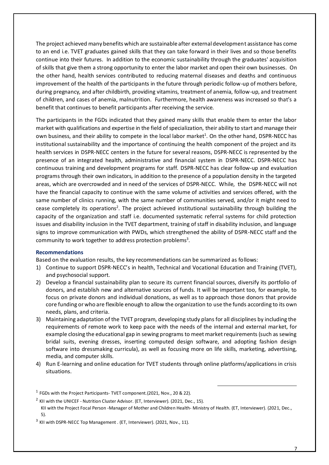The project achieved many benefits which are sustainable after external development assistance has come to an end i.e. TVET graduates gained skills that they can take forward in their lives and so those benefits continue into their futures. In addition to the economic sustainability through the graduates' acquisition of skills that give them a strong opportunity to enter the labor market and open their own businesses. On the other hand, health services contributed to reducing maternal diseases and deaths and continuous improvement of the health of the participants in the future through periodic follow-up of mothers before, during pregnancy, and after childbirth, providing vitamins, treatment of anemia, follow-up, and treatment of children, and cases of anemia, malnutrition. Furthermore, health awareness was increased so that's a benefit that continues to benefit participants after receiving the service.

The participants in the FGDs indicated that they gained many skills that enable them to enter the labor market with qualifications and expertise in the field of specialization, their ability to start and manage their own business, and their ability to compete in the local labor market<sup>1</sup>. On the other hand, DSPR-NECC has institutional sustainability and the importance of continuing the health component of the project and its health services in DSPR-NECC centers in the future for several reasons, DSPR-NECC is represented by the presence of an integrated health, administrative and financial system in DSPR-NECC. DSPR-NECC has continuous training and development programs for staff. DSPR-NECC has clear follow-up and evaluation programs through their own indicators, in addition to the presence of a population density in the targeted areas, which are overcrowded and in need of the services of DSPR-NECC. While, the DSPR-NECC will not have the financial capacity to continue with the same volume of activities and services offered, with the same number of clinics running, with the same number of communities served, and/or it might need to cease completely its operations<sup>2</sup>. The project achieved institutional sustainability through building the capacity of the organization and staff i.e. documented systematic referral systems for child protection issues and disability inclusion in the TVET department, training of staff in disability inclusion, and language signs to improve communication with PWDs, which strengthened the ability of DSPR-NECC staff and the community to work together to address protection problems<sup>3</sup>.

#### **Recommendations**

Based on the evaluation results, the key recommendations can be summarized as follows:

- 1) Continue to support DSPR-NECC's in health, Technical and Vocational Education and Training (TVET), and psychosocial support.
- 2) Develop a financial sustainability plan to secure its current financial sources, diversify its portfolio of donors, and establish new and alternative sources of funds. It will be important too, for example, to focus on private donors and individual donations, as well as to approach those donors that provide core funding or who are flexible enough to allow the organization to use the funds according to its own needs, plans, and criteria.
- 3) Maintaining adaptation of the TVET program, developing study plans for all disciplines by including the requirements of remote work to keep pace with the needs of the internal and external market, for example closing the educational gap in sewing programs to meet market requirements (such as sewing bridal suits, evening dresses, inserting computed design software, and adopting fashion design software into dressmaking curricula), as well as focusing more on life skills, marketing, advertising, media, and computer skills.
- 4) Run E-learning and online education for TVET students through online platforms/applications in crisis situations.

 $<sup>1</sup>$  FGDs with the Project Participants- TVET component.(2021, Nov., 20 & 22).</sup>

 $^2$  KII with the UNICEF - Nutrition Cluster Advisor. (ET, Interviewer). (2021, Dec., 15).

KII with the Project Focal Person -Manager of Mother and Children Health- Ministry of Health. (ET, Interviewer). (2021, Dec., 5).

 $^3$  KII with DSPR-NECC Top Management . (ET, Interviewer). (2021, Nov., 11).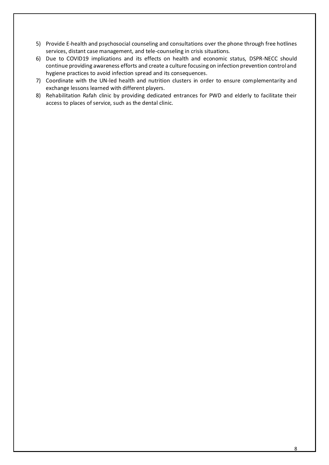- 5) Provide E-health and psychosocial counseling and consultations over the phone through free hotlines services, distant case management, and tele-counseling in crisis situations.
- 6) Due to COVID19 implications and its effects on health and economic status, DSPR-NECC should continue providing awareness efforts and create a culture focusing on infection prevention control and hygiene practices to avoid infection spread and its consequences.
- 7) Coordinate with the UN-led health and nutrition clusters in order to ensure complementarity and exchange lessons learned with different players.
- 8) Rehabilitation Rafah clinic by providing dedicated entrances for PWD and elderly to facilitate their access to places of service, such as the dental clinic.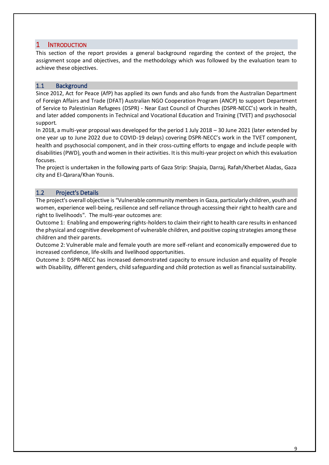## 1 INTRODUCTION

This section of the report provides a general background regarding the context of the project, the assignment scope and objectives, and the methodology which was followed by the evaluation team to achieve these objectives.

### 1.1 Background

Since 2012, Act for Peace (AfP) has applied its own funds and also funds from the Australian Department of Foreign Affairs and Trade (DFAT) Australian NGO Cooperation Program (ANCP) to support Department of Service to Palestinian Refugees (DSPR) - Near East Council of Churches (DSPR-NECC's) work in health, and later added components in Technical and Vocational Education and Training (TVET) and psychosocial support.

In 2018, a multi-year proposal was developed for the period 1 July 2018 – 30 June 2021 (later extended by one year up to June 2022 due to COVID-19 delays) covering DSPR-NECC's work in the TVET component, health and psychosocial component, and in their cross-cutting efforts to engage and include people with disabilities (PWD), youth and women in their activities. It is this multi-year project on which this evaluation focuses.

The project is undertaken in the following parts of Gaza Strip: Shajaia, Darraj, Rafah/Kherbet Aladas, Gaza city and El-Qarara/Khan Younis.

## 1.2 Project's Details

The project's overall objective is "Vulnerable community members in Gaza, particularly children, youth and women, experience well-being, resilience and self-reliance through accessing their right to health care and right to livelihoods". The multi-year outcomes are:

Outcome 1: Enabling and empowering rights-holders to claim their right to health care results in enhanced the physical and cognitive development of vulnerable children, and positive coping strategies among these children and their parents.

Outcome 2: Vulnerable male and female youth are more self-reliant and economically empowered due to increased confidence, life-skills and livelihood opportunities.

Outcome 3: DSPR-NECC has increased demonstrated capacity to ensure inclusion and equality of People with Disability, different genders, child safeguarding and child protection as well as financial sustainability.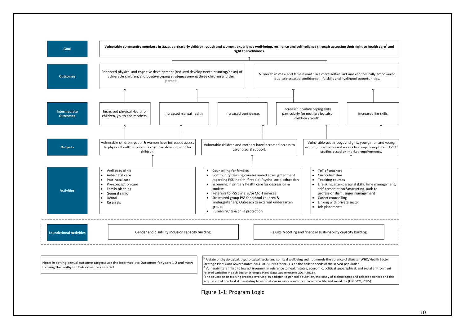

10